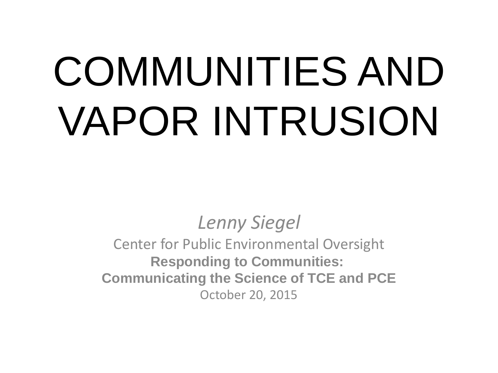# COMMUNITIES AND VAPOR INTRUSION

#### *Lenny Siegel*

Center for Public Environmental Oversight **Responding to Communities: Communicating the Science of TCE and PCE** October 20, 2015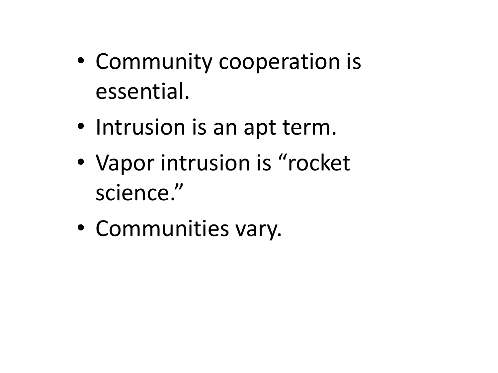- Community cooperation is essential.
- Intrusion is an apt term.
- Vapor intrusion is "rocket" science."
- Communities vary.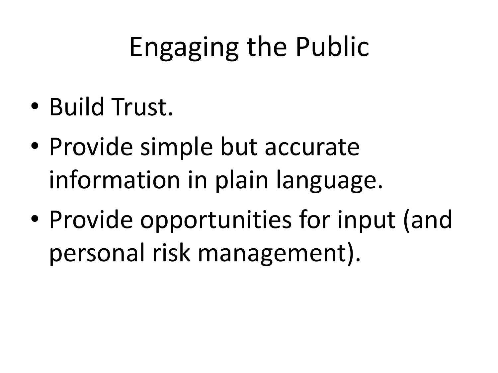# Engaging the Public

- Build Trust.
- Provide simple but accurate information in plain language.
- Provide opportunities for input (and personal risk management).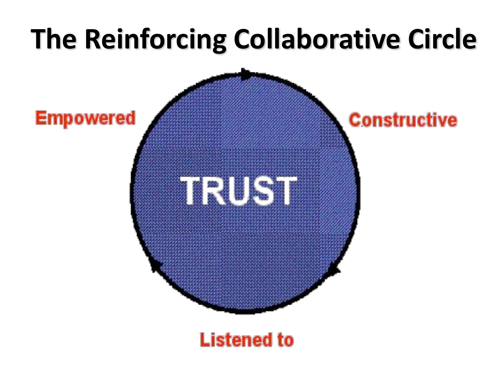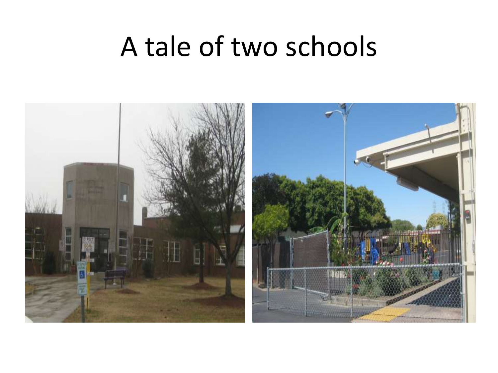#### A tale of two schools

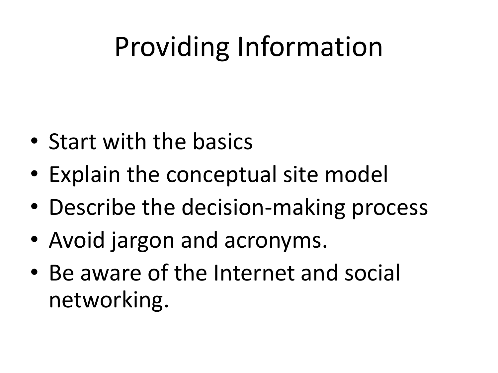# Providing Information

- Start with the basics
- Explain the conceptual site model
- Describe the decision-making process
- Avoid jargon and acronyms.
- Be aware of the Internet and social networking.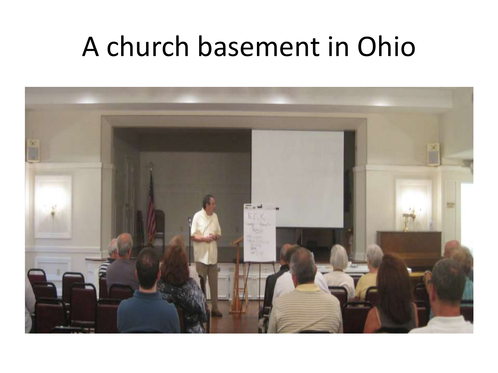#### A church basement in Ohio

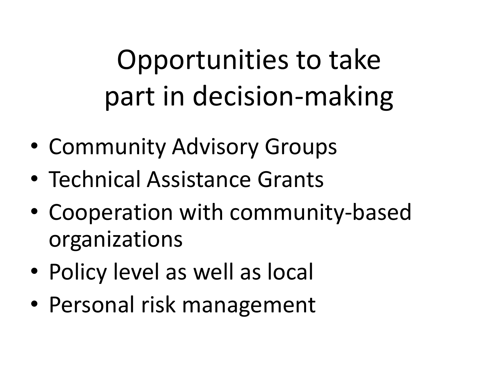# Opportunities to take part in decision-making

- Community Advisory Groups
- Technical Assistance Grants
- Cooperation with community-based organizations
- Policy level as well as local
- Personal risk management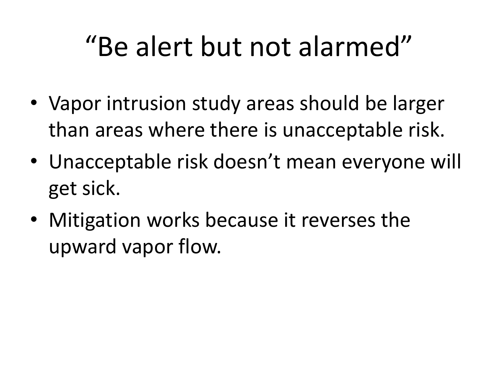### "Be alert but not alarmed"

- Vapor intrusion study areas should be larger than areas where there is unacceptable risk.
- Unacceptable risk doesn't mean everyone will get sick.
- Mitigation works because it reverses the upward vapor flow.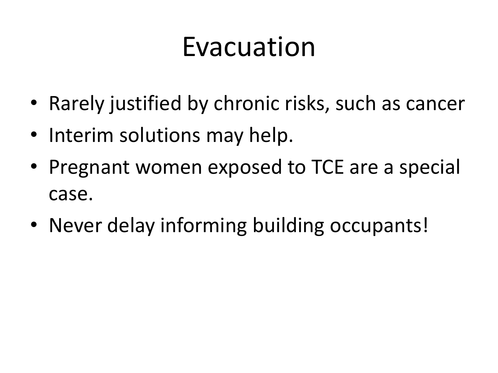### Evacuation

- Rarely justified by chronic risks, such as cancer
- Interim solutions may help.
- Pregnant women exposed to TCE are a special case.
- Never delay informing building occupants!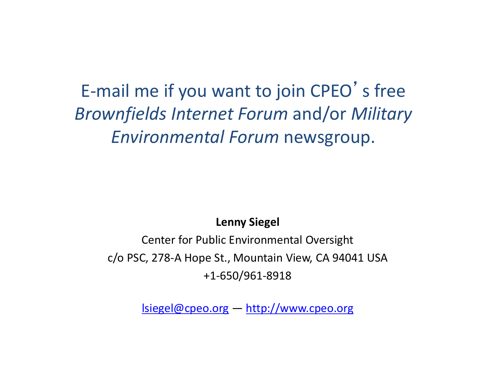#### E-mail me if you want to join CPEO's free *Brownfields Internet Forum* and/or *Military Environmental Forum* newsgroup.

**Lenny Siegel**

Center for Public Environmental Oversight c/o PSC, 278-A Hope St., Mountain View, CA 94041 USA +1-650/961-8918

[lsiegel@cpeo.org](mailto:lsiegel@cpeo.org) — <http://www.cpeo.org>